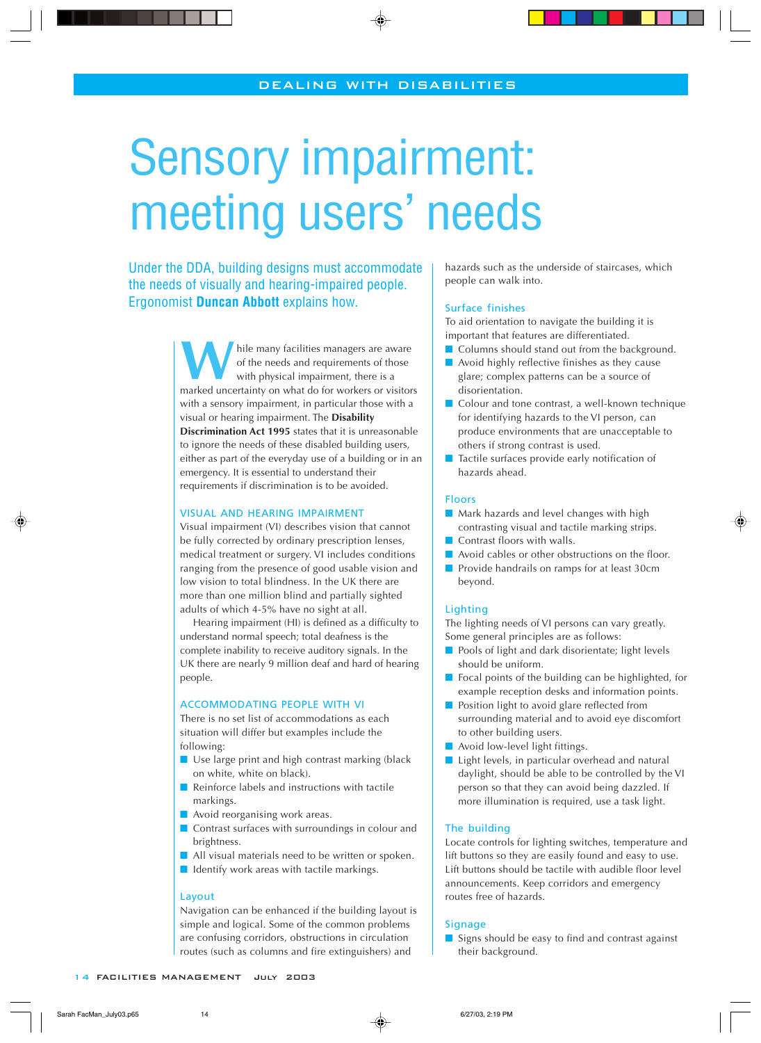# Sensory impairment: meeting users' needs

Under the DDA, building designs must accommodate the needs of visually and hearing-impaired people. Ergonomist **Duncan Abbott** explains how.

> W hile many facilities managers are aware<br>of the needs and requirements of those<br>with physical impairment, there is a<br>marked uncertainty on what do for workers or visitors hile many facilities managers are aware of the needs and requirements of those with physical impairment, there is a with a sensory impairment, in particular those with a visual or hearing impairment. The **Disability Discrimination Act 1995** states that it is unreasonable to ignore the needs of these disabled building users, either as part of the everyday use of a building or in an emergency. It is essential to understand their requirements if discrimination is to be avoided.

## <u>VISUAL AND HEARING IMPAIRMENT</u>

Visual impairment (VI) describes vision that cannot be fully corrected by ordinary prescription lenses, medical treatment or surgery. VI includes conditions ranging from the presence of good usable vision and low vision to total blindness. In the UK there are more than one million blind and partially sighted adults of which 4-5% have no sight at all.

Hearing impairment (HI) is defined as a difficulty to understand normal speech; total deafness is the complete inability to receive auditory signals. In the UK there are nearly 9 million deaf and hard of hearing people.

## <u>ACCOMMODATING PEOPLE WITH VI</u>

There is no set list of accommodations as each situation will differ but examples include the following:

- Use large print and high contrast marking (black on white, white on black).
- Reinforce labels and instructions with tactile markings.
- Avoid reorganising work areas.
- Contrast surfaces with surroundings in colour and brightness.
- All visual materials need to be written or spoken.
- Identify work areas with tactile markings.

## Layout

Navigation can be enhanced if the building layout is simple and logical. Some of the common problems are confusing corridors, obstructions in circulation routes (such as columns and fire extinguishers) and

hazards such as the underside of staircases, which people can walk into.

#### Surface finishes

To aid orientation to navigate the building it is important that features are differentiated.

- Columns should stand out from the background.
- $\blacksquare$  Avoid highly reflective finishes as they cause glare; complex patterns can be a source of disorientation.
- Colour and tone contrast, a well-known technique for identifying hazards to the VI person, can produce environments that are unacceptable to others if strong contrast is used.
- Tactile surfaces provide early notification of hazards ahead.

## **Eloors**

- Mark hazards and level changes with high contrasting visual and tactile marking strips.
- Contrast floors with walls.
- Avoid cables or other obstructions on the floor.
- Provide handrails on ramps for at least 30cm beyond.

## Lighting

The lighting needs of VI persons can vary greatly. Some general principles are as follows:

- Pools of light and dark disorientate; light levels should be uniform.
- Focal points of the building can be highlighted, for example reception desks and information points.
- Position light to avoid glare reflected from surrounding material and to avoid eye discomfort to other building users.
- Avoid low-level light fittings.
- Light levels, in particular overhead and natural daylight, should be able to be controlled by the VI person so that they can avoid being dazzled. If more illumination is required, use a task light.

## The building

Locate controls for lighting switches, temperature and lift buttons so they are easily found and easy to use. Lift buttons should be tactile with audible floor level announcements. Keep corridors and emergency routes free of hazards.

# **Signage**

■ Signs should be easy to find and contrast against their background.